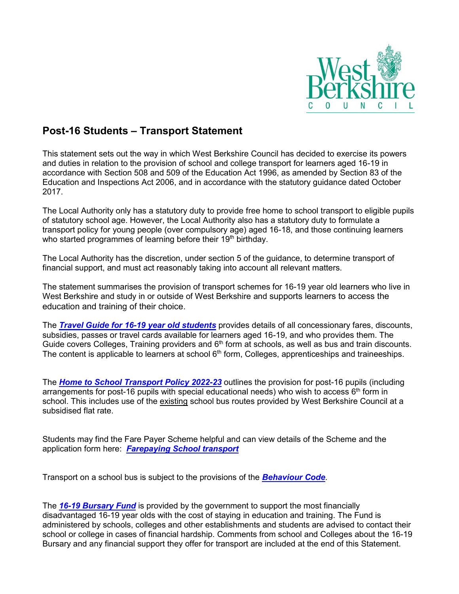

# **Post-16 Students – Transport Statement**

This statement sets out the way in which West Berkshire Council has decided to exercise its powers and duties in relation to the provision of school and college transport for learners aged 16-19 in accordance with Section 508 and 509 of the Education Act 1996, as amended by Section 83 of the Education and Inspections Act 2006, and in accordance with the statutory guidance dated October 2017.

The Local Authority only has a statutory duty to provide free home to school transport to eligible pupils of statutory school age. However, the Local Authority also has a statutory duty to formulate a transport policy for young people (over compulsory age) aged 16-18, and those continuing learners who started programmes of learning before their 19<sup>th</sup> birthday.

The Local Authority has the discretion, under section 5 of the guidance, to determine transport of financial support, and must act reasonably taking into account all relevant matters.

The statement summarises the provision of transport schemes for 16-19 year old learners who live in West Berkshire and study in or outside of West Berkshire and supports learners to access the education and training of their choice.

The *[Travel Guide for 16-19 year old students](https://info.westberks.gov.uk/CHttpHandler.ashx?id=36451&p=0)* provides details of all concessionary fares, discounts, subsidies, passes or travel cards available for learners aged 16-19, and who provides them. The Guide covers Colleges, Training providers and  $6<sup>th</sup>$  form at schools, as well as bus and train discounts. The content is applicable to learners at school  $6<sup>th</sup>$  form, Colleges, apprenticeships and traineeships.

The *[Home to School Transport Policy 2022-23](https://info.westberks.gov.uk/CHttpHandler.ashx?id=51328&p=0)* outlines the provision for post-16 pupils (including arrangements for post-16 pupils with special educational needs) who wish to access  $6<sup>th</sup>$  form in school. This includes use of the existing school bus routes provided by West Berkshire Council at a subsidised flat rate.

Students may find the Fare Payer Scheme helpful and can view details of the Scheme and the application form here: *[Farepaying School transport](https://info.westberks.gov.uk/farepayingschooltransport)*

Transport on a school bus is subject to the provisions of the *[Behaviour Code](http://info.westberks.gov.uk/CHttpHandler.ashx?id=36458&p=0)*.

The *[16-19 Bursary Fund](https://www.gov.uk/1619-bursary-fund/eligibility)* is provided by the government to support the most financially disadvantaged 16-19 year olds with the cost of staying in education and training. The Fund is administered by schools, colleges and other establishments and students are advised to contact their school or college in cases of financial hardship. Comments from school and Colleges about the 16-19 Bursary and any financial support they offer for transport are included at the end of this Statement.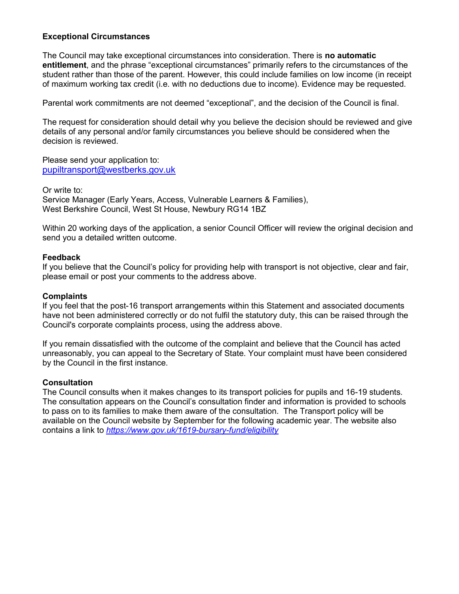## **Exceptional Circumstances**

The Council may take exceptional circumstances into consideration. There is **no automatic entitlement**, and the phrase "exceptional circumstances" primarily refers to the circumstances of the student rather than those of the parent. However, this could include families on low income (in receipt of maximum working tax credit (i.e. with no deductions due to income). Evidence may be requested.

Parental work commitments are not deemed "exceptional", and the decision of the Council is final.

The request for consideration should detail why you believe the decision should be reviewed and give details of any personal and/or family circumstances you believe should be considered when the decision is reviewed.

Please send your application to: [pupiltransport@westberks.gov.uk](mailto:pupiltransport@westberks.gov.uk)

Or write to: Service Manager (Early Years, Access, Vulnerable Learners & Families), West Berkshire Council, West St House, Newbury RG14 1BZ

Within 20 working days of the application, a senior Council Officer will review the original decision and send you a detailed written outcome.

## **Feedback**

If you believe that the Council's policy for providing help with transport is not objective, clear and fair, please email or post your comments to the address above.

## **Complaints**

If you feel that the post-16 transport arrangements within this Statement and associated documents have not been administered correctly or do not fulfil the statutory duty, this can be raised through the Council's corporate complaints process, using the address above.

If you remain dissatisfied with the outcome of the complaint and believe that the Council has acted unreasonably, you can appeal to the Secretary of State. Your complaint must have been considered by the Council in the first instance.

## **Consultation**

The Council consults when it makes changes to its transport policies for pupils and 16-19 students. The consultation appears on the Council's consultation finder and information is provided to schools to pass on to its families to make them aware of the consultation. The Transport policy will be available on the Council website by September for the following academic year. The website also contains a link to *<https://www.gov.uk/1619-bursary-fund/eligibility>*